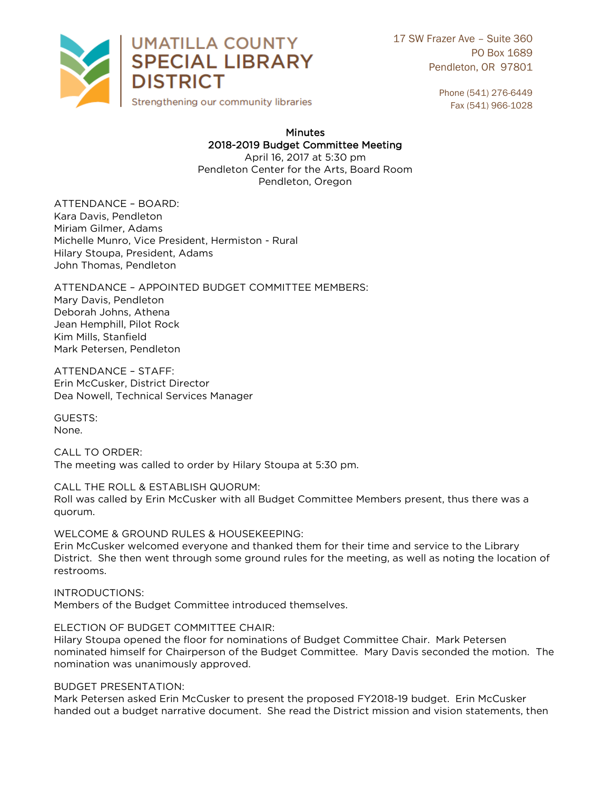

17 SW Frazer Ave – Suite 360 PO Box 1689 Pendleton, OR 97801

> Phone (541) 276-6449 Fax (541) 966-1028

## **Minutes** 2018-2019 Budget Committee Meeting

April 16, 2017 at 5:30 pm Pendleton Center for the Arts, Board Room Pendleton Oregon Pendleton, Oregon

ATTENDANCE - BOARD: Kara Davis, Pendleton Miriam Gilmer, Adams Michelle Munro, Vice President, Hermiston - Rural Hilary Stoupa, President, Adams John Thomas, Pendleton John Thomas, Pendleton

ATTENDANCE - APPOINTED BUDGET COMMITTEE MEMBERS: Mary Davis, Pendleton Deborah Johns, Athena Jean Hemphill, Pilot Rock Kim Mills, Stanfield Mark Petersen, Pendleton Mark Petersen, Pendleton

ATTENDANCE - STAFF:<br>Erin McCusker, District Director Erin McCustler, Ereenee Entered<br>Dea Nowell, Technical Services Dea Nowell, Technical Services Manager

**GUESTS:** None. None.

quorum.

 $\overline{\phantom{a}}$  The meeting was  $\overline{\phantom{a}}$ The method was called to order by Hilary Stockholms at 5:30 pm.

CALL THE ROLL & ESTABLISH SIS SHIPPIN<br>Roll was called by Frin McCusker with all I  $R$ 

WELCOME & GROUND RULES & HOUSEKEEPING: Erin McCusker welcomed everyone and thanked them for their time and service to the Library District. She then went through some ground rules for the meeting as well as poting the location  $\mathcal{L}$ 

**INTRODUCTIONS:** Members of the Budget Committee introduced themselves. Members of the Budget Committee introduced themselves.

ELECTION OF BUDGET COMMITTEE CHAIR: Hilary Stoupa opened the floor for nominations of Budget Committee Chair. Mark Petersen nominated himself for Chairperson of the Budget Committee. Mary Davis seconded the motion. The nomination was unanimously approved.<br>nomination was unanimously approved. nomination was unanimously approved.

BUDGET PRESENTATION:<br>Mark Petersen asked Erin McCusker to present the proposed FY2018-19 budget. Erin McCusker handed out a budget narrative document. She read the District mission and vision statements, then handed out a budget narrative document. She read the District mission and vision statements, then